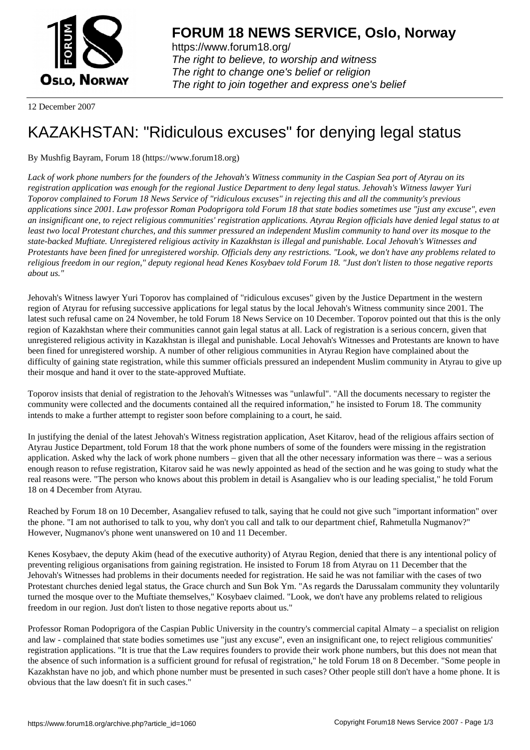

https://www.forum18.org/ The right to believe, to worship and witness The right to change one's belief or religion [The right to join together a](https://www.forum18.org/)nd express one's belief

12 December 2007

## [KAZAKHSTAN:](https://www.forum18.org) "Ridiculous excuses" for denying legal status

## By Mushfig Bayram, Forum 18 (https://www.forum18.org)

*Lack of work phone numbers for the founders of the Jehovah's Witness community in the Caspian Sea port of Atyrau on its registration application was enough for the regional Justice Department to deny legal status. Jehovah's Witness lawyer Yuri Toporov complained to Forum 18 News Service of "ridiculous excuses" in rejecting this and all the community's previous applications since 2001. Law professor Roman Podoprigora told Forum 18 that state bodies sometimes use "just any excuse", even an insignificant one, to reject religious communities' registration applications. Atyrau Region officials have denied legal status to at least two local Protestant churches, and this summer pressured an independent Muslim community to hand over its mosque to the state-backed Muftiate. Unregistered religious activity in Kazakhstan is illegal and punishable. Local Jehovah's Witnesses and Protestants have been fined for unregistered worship. Officials deny any restrictions. "Look, we don't have any problems related to religious freedom in our region," deputy regional head Kenes Kosybaev told Forum 18. "Just don't listen to those negative reports about us."*

Jehovah's Witness lawyer Yuri Toporov has complained of "ridiculous excuses" given by the Justice Department in the western region of Atyrau for refusing successive applications for legal status by the local Jehovah's Witness community since 2001. The latest such refusal came on 24 November, he told Forum 18 News Service on 10 December. Toporov pointed out that this is the only region of Kazakhstan where their communities cannot gain legal status at all. Lack of registration is a serious concern, given that unregistered religious activity in Kazakhstan is illegal and punishable. Local Jehovah's Witnesses and Protestants are known to have been fined for unregistered worship. A number of other religious communities in Atyrau Region have complained about the difficulty of gaining state registration, while this summer officials pressured an independent Muslim community in Atyrau to give up their mosque and hand it over to the state-approved Muftiate.

Toporov insists that denial of registration to the Jehovah's Witnesses was "unlawful". "All the documents necessary to register the community were collected and the documents contained all the required information," he insisted to Forum 18. The community intends to make a further attempt to register soon before complaining to a court, he said.

In justifying the denial of the latest Jehovah's Witness registration application, Aset Kitarov, head of the religious affairs section of Atyrau Justice Department, told Forum 18 that the work phone numbers of some of the founders were missing in the registration application. Asked why the lack of work phone numbers – given that all the other necessary information was there – was a serious enough reason to refuse registration, Kitarov said he was newly appointed as head of the section and he was going to study what the real reasons were. "The person who knows about this problem in detail is Asangaliev who is our leading specialist," he told Forum 18 on 4 December from Atyrau.

Reached by Forum 18 on 10 December, Asangaliev refused to talk, saying that he could not give such "important information" over the phone. "I am not authorised to talk to you, why don't you call and talk to our department chief, Rahmetulla Nugmanov?" However, Nugmanov's phone went unanswered on 10 and 11 December.

Kenes Kosybaev, the deputy Akim (head of the executive authority) of Atyrau Region, denied that there is any intentional policy of preventing religious organisations from gaining registration. He insisted to Forum 18 from Atyrau on 11 December that the Jehovah's Witnesses had problems in their documents needed for registration. He said he was not familiar with the cases of two Protestant churches denied legal status, the Grace church and Sun Bok Ym. "As regards the Darussalam community they voluntarily turned the mosque over to the Muftiate themselves," Kosybaev claimed. "Look, we don't have any problems related to religious freedom in our region. Just don't listen to those negative reports about us."

Professor Roman Podoprigora of the Caspian Public University in the country's commercial capital Almaty – a specialist on religion and law - complained that state bodies sometimes use "just any excuse", even an insignificant one, to reject religious communities' registration applications. "It is true that the Law requires founders to provide their work phone numbers, but this does not mean that the absence of such information is a sufficient ground for refusal of registration," he told Forum 18 on 8 December. "Some people in Kazakhstan have no job, and which phone number must be presented in such cases? Other people still don't have a home phone. It is obvious that the law doesn't fit in such cases."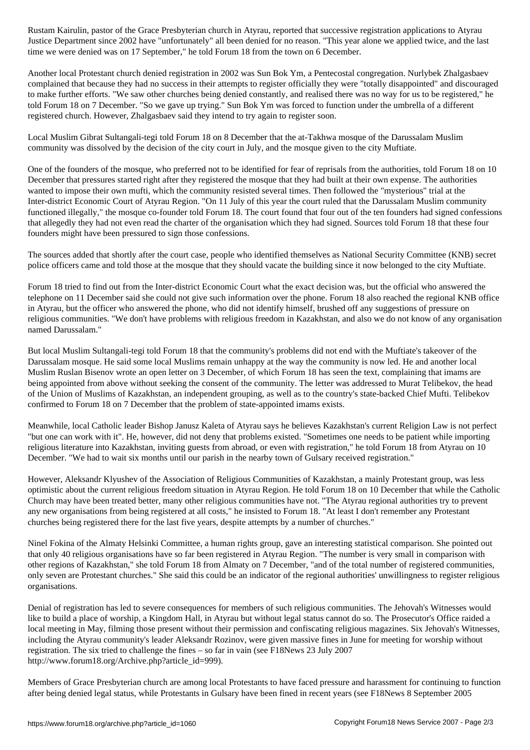Justice Department since 2002 have "unfortunately" all been denied for no reason. "This year alone we applied twice, and the last time we were denied was on 17 September," he told Forum 18 from the town on 6 December.

Another local Protestant church denied registration in 2002 was Sun Bok Ym, a Pentecostal congregation. Nurlybek Zhalgasbaev complained that because they had no success in their attempts to register officially they were "totally disappointed" and discouraged to make further efforts. "We saw other churches being denied constantly, and realised there was no way for us to be registered," he told Forum 18 on 7 December. "So we gave up trying." Sun Bok Ym was forced to function under the umbrella of a different registered church. However, Zhalgasbaev said they intend to try again to register soon.

Local Muslim Gibrat Sultangali-tegi told Forum 18 on 8 December that the at-Takhwa mosque of the Darussalam Muslim community was dissolved by the decision of the city court in July, and the mosque given to the city Muftiate.

One of the founders of the mosque, who preferred not to be identified for fear of reprisals from the authorities, told Forum 18 on 10 December that pressures started right after they registered the mosque that they had built at their own expense. The authorities wanted to impose their own mufti, which the community resisted several times. Then followed the "mysterious" trial at the Inter-district Economic Court of Atyrau Region. "On 11 July of this year the court ruled that the Darussalam Muslim community functioned illegally," the mosque co-founder told Forum 18. The court found that four out of the ten founders had signed confessions that allegedly they had not even read the charter of the organisation which they had signed. Sources told Forum 18 that these four founders might have been pressured to sign those confessions.

The sources added that shortly after the court case, people who identified themselves as National Security Committee (KNB) secret police officers came and told those at the mosque that they should vacate the building since it now belonged to the city Muftiate.

Forum 18 tried to find out from the Inter-district Economic Court what the exact decision was, but the official who answered the telephone on 11 December said she could not give such information over the phone. Forum 18 also reached the regional KNB office in Atyrau, but the officer who answered the phone, who did not identify himself, brushed off any suggestions of pressure on religious communities. "We don't have problems with religious freedom in Kazakhstan, and also we do not know of any organisation named Darussalam."

But local Muslim Sultangali-tegi told Forum 18 that the community's problems did not end with the Muftiate's takeover of the Darussalam mosque. He said some local Muslims remain unhappy at the way the community is now led. He and another local Muslim Ruslan Bisenov wrote an open letter on 3 December, of which Forum 18 has seen the text, complaining that imams are being appointed from above without seeking the consent of the community. The letter was addressed to Murat Telibekov, the head of the Union of Muslims of Kazakhstan, an independent grouping, as well as to the country's state-backed Chief Mufti. Telibekov confirmed to Forum 18 on 7 December that the problem of state-appointed imams exists.

Meanwhile, local Catholic leader Bishop Janusz Kaleta of Atyrau says he believes Kazakhstan's current Religion Law is not perfect "but one can work with it". He, however, did not deny that problems existed. "Sometimes one needs to be patient while importing religious literature into Kazakhstan, inviting guests from abroad, or even with registration," he told Forum 18 from Atyrau on 10 December. "We had to wait six months until our parish in the nearby town of Gulsary received registration."

However, Aleksandr Klyushev of the Association of Religious Communities of Kazakhstan, a mainly Protestant group, was less optimistic about the current religious freedom situation in Atyrau Region. He told Forum 18 on 10 December that while the Catholic Church may have been treated better, many other religious communities have not. "The Atyrau regional authorities try to prevent any new organisations from being registered at all costs," he insisted to Forum 18. "At least I don't remember any Protestant churches being registered there for the last five years, despite attempts by a number of churches."

Ninel Fokina of the Almaty Helsinki Committee, a human rights group, gave an interesting statistical comparison. She pointed out that only 40 religious organisations have so far been registered in Atyrau Region. "The number is very small in comparison with other regions of Kazakhstan," she told Forum 18 from Almaty on 7 December, "and of the total number of registered communities, only seven are Protestant churches." She said this could be an indicator of the regional authorities' unwillingness to register religious organisations.

Denial of registration has led to severe consequences for members of such religious communities. The Jehovah's Witnesses would like to build a place of worship, a Kingdom Hall, in Atyrau but without legal status cannot do so. The Prosecutor's Office raided a local meeting in May, filming those present without their permission and confiscating religious magazines. Six Jehovah's Witnesses, including the Atyrau community's leader Aleksandr Rozinov, were given massive fines in June for meeting for worship without registration. The six tried to challenge the fines – so far in vain (see F18News 23 July 2007 http://www.forum18.org/Archive.php?article\_id=999).

Members of Grace Presbyterian church are among local Protestants to have faced pressure and harassment for continuing to function after being denied legal status, while Protestants in Gulsary have been fined in recent years (see F18News 8 September 2005